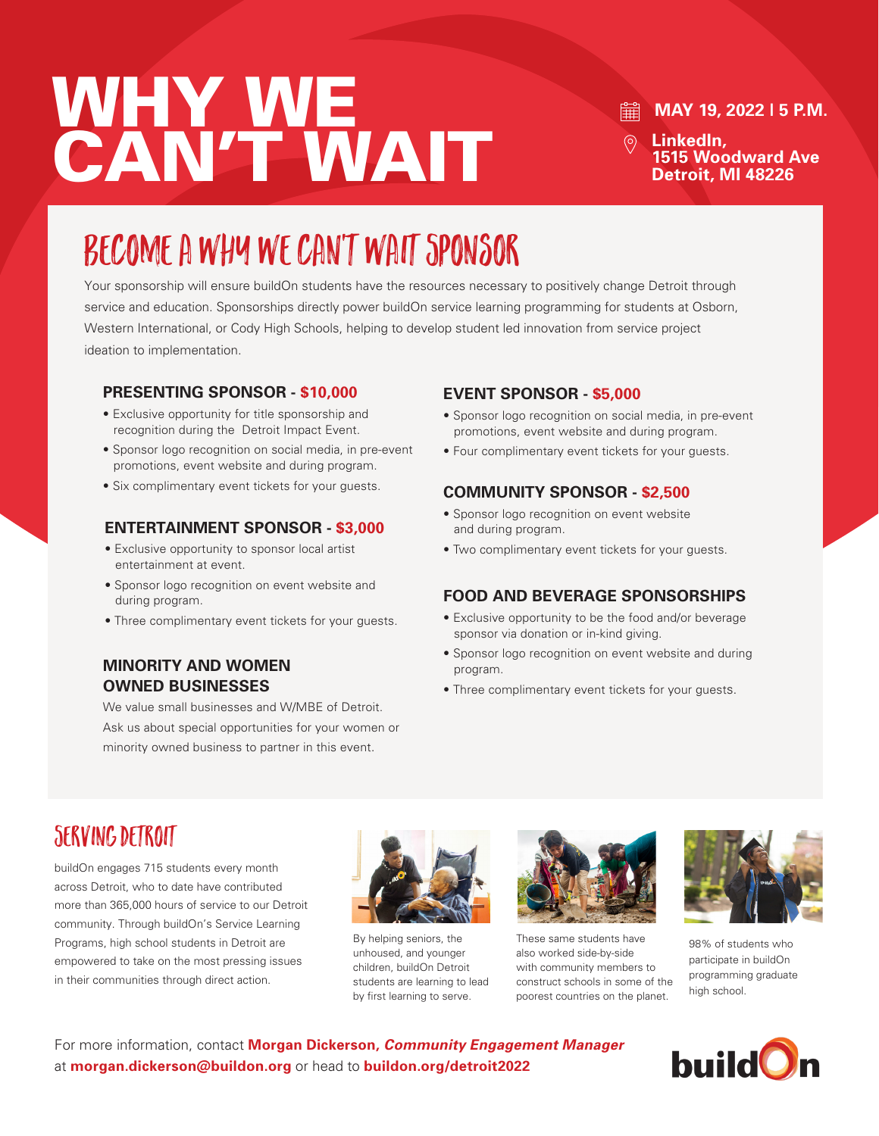# WHY WE. CAN'T WAIT

#### 翩 **MAY 19, 2022 | 5 P.M.**

**LinkedIn, 1515 Woodward Ave Detroit, MI 48226**

## Become a Why We Can't Wait Sponsor

Your sponsorship will ensure buildOn students have the resources necessary to positively change Detroit through service and education. Sponsorships directly power buildOn service learning programming for students at Osborn, Western International, or Cody High Schools, helping to develop student led innovation from service project ideation to implementation.

#### **PRESENTING SPONSOR - \$10,000**

- Exclusive opportunity for title sponsorship and recognition during the Detroit Impact Event.
- Sponsor logo recognition on social media, in pre-event promotions, event website and during program.
- Six complimentary event tickets for your guests.

#### **ENTERTAINMENT SPONSOR - \$3,000**

- Exclusive opportunity to sponsor local artist entertainment at event.
- Sponsor logo recognition on event website and during program.
- Three complimentary event tickets for your guests.

#### **MINORITY AND WOMEN OWNED BUSINESSES**

We value small businesses and W/MBE of Detroit. Ask us about special opportunities for your women or minority owned business to partner in this event.

#### **EVENT SPONSOR - \$5,000**

- Sponsor logo recognition on social media, in pre-event promotions, event website and during program.
- Four complimentary event tickets for your guests.

#### **COMMUNITY SPONSOR - \$2,500**

- Sponsor logo recognition on event website and during program.
- Two complimentary event tickets for your guests.

#### **FOOD AND BEVERAGE SPONSORSHIPS**

- Exclusive opportunity to be the food and/or beverage sponsor via donation or in-kind giving.
- Sponsor logo recognition on event website and during program.
- Three complimentary event tickets for your guests.

### Serving Detroit

buildOn engages 715 students every month across Detroit, who to date have contributed more than 365,000 hours of service to our Detroit community. Through buildOn's Service Learning Programs, high school students in Detroit are empowered to take on the most pressing issues in their communities through direct action.



By helping seniors, the unhoused, and younger children, buildOn Detroit students are learning to lead by first learning to serve.



These same students have also worked side-by-side with community members to construct schools in some of the poorest countries on the planet.



98% of students who participate in buildOn programming graduate high school.

For more information, contact **Morgan Dickerson,** *Community Engagement Manager* at **morgan.dickerson@buildon.org** or head to **buildon.org/detroit2022**